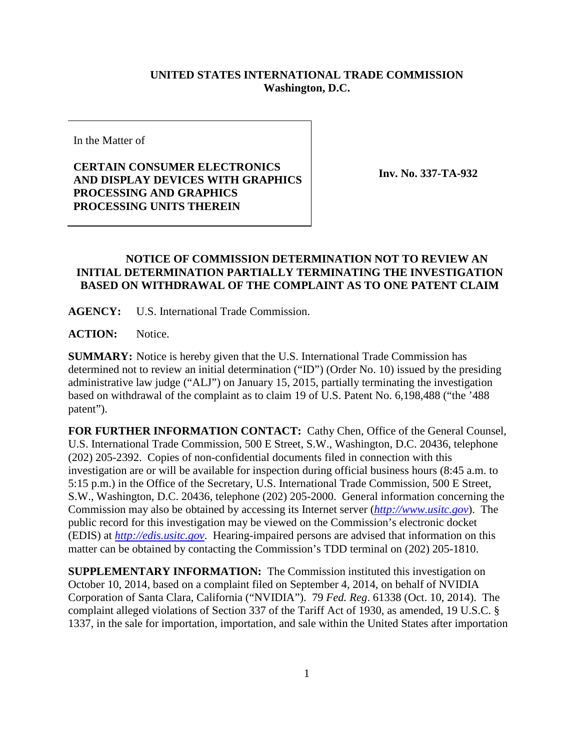## **UNITED STATES INTERNATIONAL TRADE COMMISSION Washington, D.C.**

In the Matter of

## **CERTAIN CONSUMER ELECTRONICS AND DISPLAY DEVICES WITH GRAPHICS PROCESSING AND GRAPHICS PROCESSING UNITS THEREIN**

**Inv. No. 337-TA-932**

## **NOTICE OF COMMISSION DETERMINATION NOT TO REVIEW AN INITIAL DETERMINATION PARTIALLY TERMINATING THE INVESTIGATION BASED ON WITHDRAWAL OF THE COMPLAINT AS TO ONE PATENT CLAIM**

**AGENCY:** U.S. International Trade Commission.

ACTION: Notice.

**SUMMARY:** Notice is hereby given that the U.S. International Trade Commission has determined not to review an initial determination ("ID") (Order No. 10) issued by the presiding administrative law judge ("ALJ") on January 15, 2015, partially terminating the investigation based on withdrawal of the complaint as to claim 19 of U.S. Patent No. 6,198,488 ("the '488 patent").

**FOR FURTHER INFORMATION CONTACT:** Cathy Chen, Office of the General Counsel, U.S. International Trade Commission, 500 E Street, S.W., Washington, D.C. 20436, telephone (202) 205-2392. Copies of non-confidential documents filed in connection with this investigation are or will be available for inspection during official business hours (8:45 a.m. to 5:15 p.m.) in the Office of the Secretary, U.S. International Trade Commission, 500 E Street, S.W., Washington, D.C. 20436, telephone (202) 205-2000. General information concerning the Commission may also be obtained by accessing its Internet server (*[http://www.usitc.gov](http://www.usitc.gov/)*). The public record for this investigation may be viewed on the Commission's electronic docket (EDIS) at *[http://edis.usitc.gov](http://edis.usitc.gov/)*. Hearing-impaired persons are advised that information on this matter can be obtained by contacting the Commission's TDD terminal on (202) 205-1810.

**SUPPLEMENTARY INFORMATION:** The Commission instituted this investigation on October 10, 2014, based on a complaint filed on September 4, 2014, on behalf of NVIDIA Corporation of Santa Clara, California ("NVIDIA"). 79 *Fed. Reg*. 61338 (Oct. 10, 2014). The complaint alleged violations of Section 337 of the Tariff Act of 1930, as amended, 19 U.S.C. § 1337, in the sale for importation, importation, and sale within the United States after importation